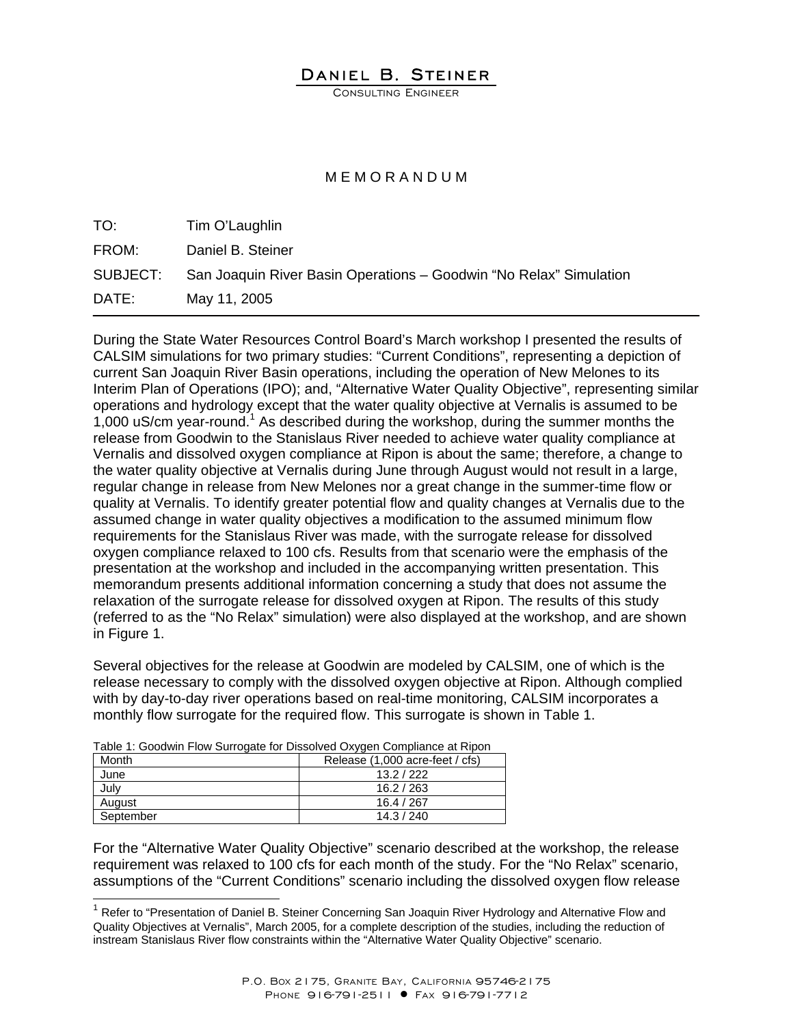## DANIEL B. STEINER

CONSULTING ENGINEER

## M E M O R A N D U M

| TO:      | Tim O'Laughlin                                                     |
|----------|--------------------------------------------------------------------|
| FROM:    | Daniel B. Steiner                                                  |
| SUBJECT: | San Joaquin River Basin Operations - Goodwin "No Relax" Simulation |
| DATE:    | May 11, 2005                                                       |

During the State Water Resources Control Board's March workshop I presented the results of CALSIM simulations for two primary studies: "Current Conditions", representing a depiction of current San Joaquin River Basin operations, including the operation of New Melones to its Interim Plan of Operations (IPO); and, "Alternative Water Quality Objective", representing similar operations and hydrology except that the water quality objective at Vernalis is assumed to be 1,000 uS/cm year-round.<sup>1</sup> As described during the workshop, during the summer months the release from Goodwin to the Stanislaus River needed to achieve water quality compliance at Vernalis and dissolved oxygen compliance at Ripon is about the same; therefore, a change to the water quality objective at Vernalis during June through August would not result in a large, regular change in release from New Melones nor a great change in the summer-time flow or quality at Vernalis. To identify greater potential flow and quality changes at Vernalis due to the assumed change in water quality objectives a modification to the assumed minimum flow requirements for the Stanislaus River was made, with the surrogate release for dissolved oxygen compliance relaxed to 100 cfs. Results from that scenario were the emphasis of the presentation at the workshop and included in the accompanying written presentation. This memorandum presents additional information concerning a study that does not assume the relaxation of the surrogate release for dissolved oxygen at Ripon. The results of this study (referred to as the "No Relax" simulation) were also displayed at the workshop, and are shown in Figure 1.

Several objectives for the release at Goodwin are modeled by CALSIM, one of which is the release necessary to comply with the dissolved oxygen objective at Ripon. Although complied with by day-to-day river operations based on real-time monitoring, CALSIM incorporates a monthly flow surrogate for the required flow. This surrogate is shown in Table 1.

| rable 1. Occumi i fow Odifogate for Dissorved Oxygen Compilative at Hipoth |                                 |  |  |  |  |  |  |
|----------------------------------------------------------------------------|---------------------------------|--|--|--|--|--|--|
| Month                                                                      | Release (1,000 acre-feet / cfs) |  |  |  |  |  |  |
| June                                                                       | 13.2 / 222                      |  |  |  |  |  |  |
| July                                                                       | 16.2 / 263                      |  |  |  |  |  |  |
| August                                                                     | 16.4 / 267                      |  |  |  |  |  |  |
| September                                                                  | 14.3 / 240                      |  |  |  |  |  |  |

 $\overline{a}$ 

Table 1: Goodwin Flow Surrogate for Dissolved Oxygen Compliance at Ripon

For the "Alternative Water Quality Objective" scenario described at the workshop, the release requirement was relaxed to 100 cfs for each month of the study. For the "No Relax" scenario, assumptions of the "Current Conditions" scenario including the dissolved oxygen flow release

 $1$  Refer to "Presentation of Daniel B. Steiner Concerning San Joaquin River Hydrology and Alternative Flow and Quality Objectives at Vernalis", March 2005, for a complete description of the studies, including the reduction of instream Stanislaus River flow constraints within the "Alternative Water Quality Objective" scenario.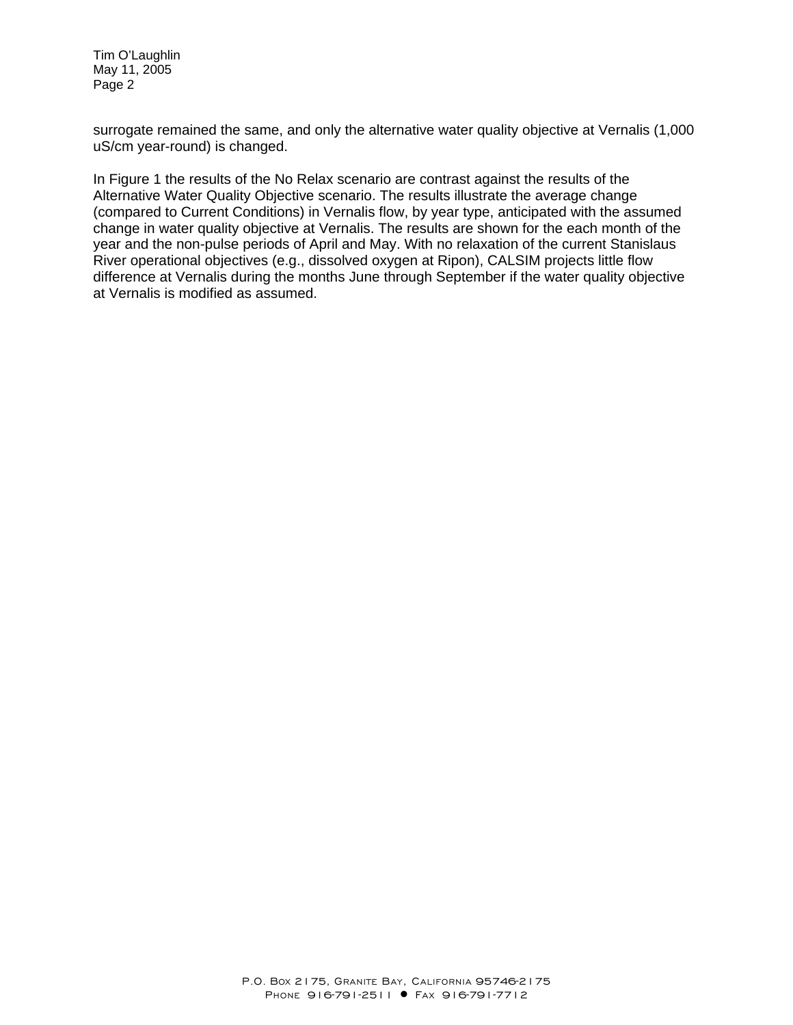Tim O'Laughlin May 11, 2005 Page 2

surrogate remained the same, and only the alternative water quality objective at Vernalis (1,000 uS/cm year-round) is changed.

In Figure 1 the results of the No Relax scenario are contrast against the results of the Alternative Water Quality Objective scenario. The results illustrate the average change (compared to Current Conditions) in Vernalis flow, by year type, anticipated with the assumed change in water quality objective at Vernalis. The results are shown for the each month of the year and the non-pulse periods of April and May. With no relaxation of the current Stanislaus River operational objectives (e.g., dissolved oxygen at Ripon), CALSIM projects little flow difference at Vernalis during the months June through September if the water quality objective at Vernalis is modified as assumed.